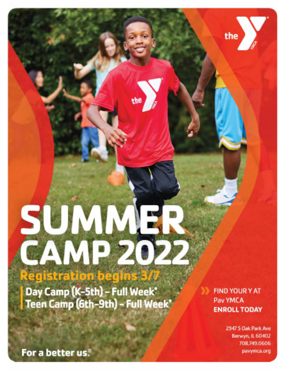Day Camp (K-5th) - Full Week\*<br>Teen Camp (6th-9th) - Full Week

SUMME<br>CAMP 20

**Registration begins 3** 

**FIND YOUR Y AT** Pav YMCA **ENROLL TODAY** 

 $the$ }

2947 S Oak Park Ave Berwyn, IL 60402 708.749.0606 pavymca.org

For a better us.<sup>®</sup>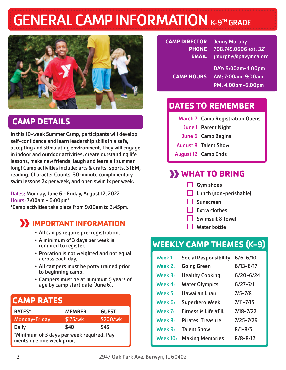# **GENERAL CAMP INFORMATION K-9TH GRADE**



# **CAMP DETAILS**

In this 10-week Summer Camp, participants will develop self-confidence and learn leadership skills in a safe, accepting and stimulating environment. They will engage in indoor and outdoor activities, create outstanding life lessons, make new friends, laugh and learn all summer long! Camp activities include: arts & crafts, sports, STEM, reading, Character Counts, 30-minute complimentary swim lessons 2x per week, and open swim 1x per week.

Dates: Monday, June 6 - Friday, August 12, 2022 Hours: 7:00am - 6:00pm\* \*Camp activities take place from 9:00am to 3:45pm.

# **B** IMPORTANT INFORMATION

- All camps require pre-registration.
- A minimum of 3 days per week is required to register.
- Proration is not weighted and not equal across each day.
- All campers must be potty trained prior to beginning camp.
- Campers must be at minimum 5 years of age by camp start date (June 6).

| <b>CAMP RATES</b>                                                       |               |              |  |  |  |
|-------------------------------------------------------------------------|---------------|--------------|--|--|--|
| <b>RATES*</b>                                                           | <b>MEMBER</b> | <b>GUEST</b> |  |  |  |
| <b>Monday-Friday</b>                                                    | \$175/wk      | \$200/wk     |  |  |  |
| <b>Daily</b>                                                            | \$40          | \$45         |  |  |  |
| *Minimum of 3 days per week required. Pay-<br>ments due one week prior. |               |              |  |  |  |

| <b>CAMP DIRECTOR</b> | <b>Jenny Murphy</b>   |
|----------------------|-----------------------|
| <b>PHONE</b>         | 708.749.0606 ext. 321 |
| <b>EMAIL</b>         | jmurphy@pavymca.org   |
|                      | DAY: 9:00am-4:00pm    |
| <b>CAMP HOURS</b>    | AM: 7:00am-9:00am     |
|                      | PM: 4:00pm-6:00pm     |

# **DATES TO REMEMBER**

| <b>March 7 Camp Registration Opens</b> |
|----------------------------------------|
| <b>June 1 Parent Night</b>             |
| June 6 Camp Begins                     |
| <b>August 8 Talent Show</b>            |
| <b>August 12 Camp Ends</b>             |
|                                        |

# **WHAT TO BRING**

- $\Box$  Gym shoes
- Lunch (non-perishable)
- Sunscreen
- Extra clothes
- Swimsuit & towel
- Water bottle

# **WEEKLY CAMP THEMES (K-9)**

| $W$ eek 1:     | <b>Social Responsibility</b> | $6/6 - 6/10$  |
|----------------|------------------------------|---------------|
| $W$ eek 2:     | <b>Going Green</b>           | $6/13 - 6/17$ |
| $W$ eek 3:     | <b>Healthy Cooking</b>       | $6/20 - 6/24$ |
| $W$ eek 4.     | <b>Water Olympics</b>        | $6/27 - 7/1$  |
| Week $5:$      | Hawaiian Luau                | $7/5 - 7/8$   |
| Week 6:        | <b>Superhero Week</b>        | $7/11 - 7/15$ |
| Week $7:$      | Fitness is Life #FIL         | 7/18-7/22     |
| <b>Week 8:</b> | Pirates' Treasure            | 7/25-7/29     |
| Week 9:        | <b>Talent Show</b>           | $8/1 - 8/5$   |
| Week $10:$     | <b>Making Memories</b>       | $8/8 - 8/12$  |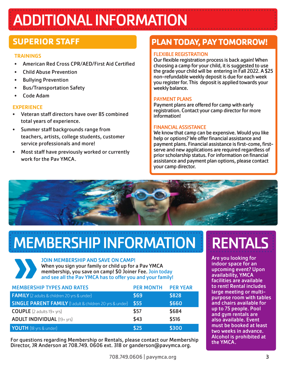# ADDITIONAL INFORMATION

# **SUPERIOR STAFF**

#### **TRAININGS**

- American Red Cross CPR/AED/First Aid Certified
- Child Abuse Prevention
- Bullying Prevention
- Bus/Transportation Safety
- Code Adam

### **EXPERIENCE**

- Veteran staff directors have over 85 combined total years of experience.
- Summer staff backgrounds range from teachers, artists, college students, customer service professionals and more!
- Most staff have previously worked or currently work for the Pav YMCA.

# **PLAN TODAY, PAY TOMORROW!**

## FLEXIBLE REGISTRATION

Our flexible registration process is back again! When choosing a camp for your child, it is suggested to use the grade your child will be entering in Fall 2022. A \$25 non-refundable weekly deposit is due for each week you register for. This deposit is applied towards your weekly balance.

## PAYMENT PLANS

Payment plans are offered for camp with early registration. Contact your camp director for more information!

### FINANCIAL ASSISTANCE

We know that camp can be expensive. Would you like help or options? We offer financial assistance and payment plans. Financial assistance is first-come, firstserve and new applications are required regardless of prior scholarship status. For information on financial assistance and payment plan options, please contact your camp director.



# **MEMBERSHIP INFORMATION FIRENTALS**

JOIN MEMBERSHIP AND SAVE ON CAMP! When you sign your family or child up for a Pav YMCA membership, you save on camp! \$0 Joiner Fee.Join today and see all the Pav YMCA has to offer you and your family!

| <b>MEMBERSHIP TYPES AND RATES</b>                               | <b>PER MONTH</b> | <b>PER YEAR</b> |
|-----------------------------------------------------------------|------------------|-----------------|
| <b>FAMILY</b> (2 adults & children 20 yrs & under)              | \$69             | \$828           |
| <b>SINGLE PARENT FAMILY</b> (1 adult & children 20 yrs & under) | \$55             | \$660           |
| <b>COUPLE</b> $(2 \text{ adults } 19 + \text{yrs})$             | \$57             | \$684           |
| <b>ADULT INDIVIDUAL (19+ yrs)</b>                               | \$43             | \$516           |
| YOUTH (18 yrs & under)                                          | \$25             | \$300           |

For questions regarding Membership or Rentals, please contact our Membership Director, JR Anderson at 708.749. 0606 ext. 318 or ganderson@pavymca.org.

Are you looking for indoor space for an upcoming event? Upon availability, YMCA facilities are available to rent! Rental includes large meeting or multipurpose room with tables and chairs available for up to 75 people. Pool and gym rentals are also available. Event must be booked at least two weeks in advance. Alcohol is prohibited at the YMCA.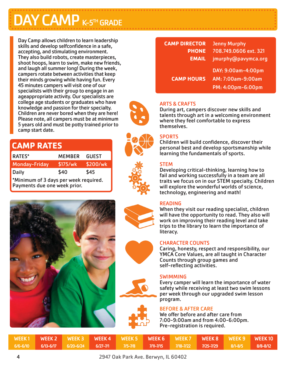# **DAY CAMP K-5TH GRADE**

Day Camp allows children to learn leadership skills and develop selfconfidence in a safe, accepting, and stimulating environment. They also build robots, create masterpieces, shoot hoops, learn to swim, make new friends, and laugh all summer long! During the week, campers rotate between activities that keep their minds growing while having fun. Every 45 minutes campers will visit one of our specialists with their group to engage in an ageappropriate activity. Our specialists are college age students or graduates who have knowledge and passion for their specialty. Children are never bored when they are here! Please note, all campers must be at minimum 5 years old and must be potty trained prior to camp start date.

| <b>CAMP RATES</b>                                                     |               |              |  |  |  |  |
|-----------------------------------------------------------------------|---------------|--------------|--|--|--|--|
| <b>RATES*</b>                                                         | <b>MEMBER</b> | <b>GUEST</b> |  |  |  |  |
| <b>Monday-Friday</b>                                                  | \$175/wk      | \$200/wk     |  |  |  |  |
| <b>Daily</b>                                                          | \$40          | \$45         |  |  |  |  |
| *Minimum of 3 days per week required.<br>Payments due one week prior. |               |              |  |  |  |  |



| <b>CAMP DIRECTOR</b> | <b>Jenny Murphy</b>   |
|----------------------|-----------------------|
| <b>PHONE</b>         | 708.749.0606 ext. 321 |
| <b>EMAIL</b>         | jmurphy@pavymca.org   |
|                      | DAY: 9:00am-4:00pm    |
| <b>CAMP HOURS</b>    | AM: 7:00am-9:00am     |
|                      | PM: 4:00pm-6:00pm     |



# **SPORTS**

themselves.

ARTS & CRAFTS

Children will build confidence, discover their personal best and develop sportsmanship while learning the fundamentals of sports.

During art, campers discover new skills and talents through art in a welcoming environment

where they feel comfortable to express

#### **STEM**

Developing critical-thinking, learning how to fail and working successfully in a team are all traits we focus on in our STEM specialty. Children will explore the wonderful worlds of science, technology, engineering and math!

#### READING

When they visit our reading specialist, children will have the opportunity to read. They also will work on improving their reading level and take trips to the library to learn the importance of literacy.

#### CHARACTER COUNTS

Caring, honesty, respect and responsibility, our YMCA Core Values, are all taught in Character Counts through group games and self-reflecting activities.

#### SWIMMING

Every camper will learn the importance of water safety while receiving at least two swim lessons per week through our upgraded swim lesson program.

#### BEFORE & AFTER CARE

We offer before and after care from 7:00-9:00am and from 4:00-6:00pm. Pre-registration is required.

|          |  |             |           |               | WEEK1 WEEK2 WEEK3 WEEK4 WEEK5 WEEK6 WEEK7 WEEK8 WEEK9 WEEK10 |             |              |
|----------|--|-------------|-----------|---------------|--------------------------------------------------------------|-------------|--------------|
| 6/6-6/10 |  | $7/5 - 7/8$ | 7/11-7/15 | $1/18 - 7/22$ | $7/25 - 7/29$                                                | $R/1 - R/5$ | $8/8 - 8/12$ |

2947 Oak Park Ave. Berwyn, IL 60402